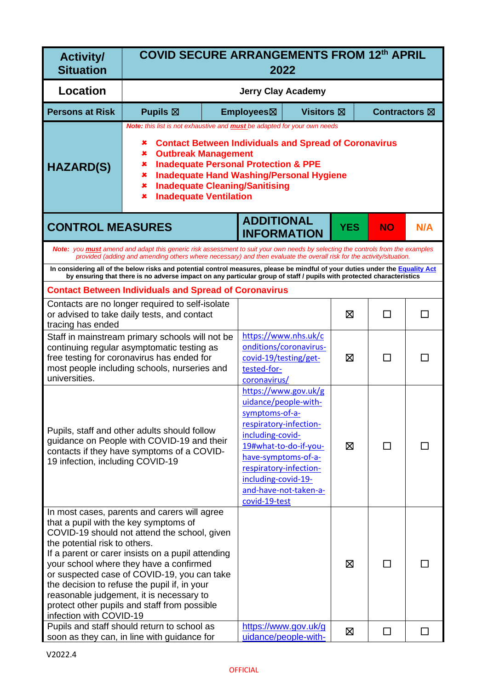| <b>Activity/</b><br><b>Situation</b>                                                                                                                                         | <b>COVID SECURE ARRANGEMENTS FROM 12th APRIL</b><br>2022                                                                                                                                                                                                                                                                                                                                |                                                                                                                                                                                                                                                                                                                                                               |                                                                                                        |   |            |           |     |
|------------------------------------------------------------------------------------------------------------------------------------------------------------------------------|-----------------------------------------------------------------------------------------------------------------------------------------------------------------------------------------------------------------------------------------------------------------------------------------------------------------------------------------------------------------------------------------|---------------------------------------------------------------------------------------------------------------------------------------------------------------------------------------------------------------------------------------------------------------------------------------------------------------------------------------------------------------|--------------------------------------------------------------------------------------------------------|---|------------|-----------|-----|
| <b>Location</b>                                                                                                                                                              |                                                                                                                                                                                                                                                                                                                                                                                         | <b>Jerry Clay Academy</b>                                                                                                                                                                                                                                                                                                                                     |                                                                                                        |   |            |           |     |
| <b>Persons at Risk</b>                                                                                                                                                       | <b>Pupils</b> ⊠                                                                                                                                                                                                                                                                                                                                                                         |                                                                                                                                                                                                                                                                                                                                                               | Employees⊠<br><b>Visitors</b> ⊠<br><b>Contractors</b> ⊠                                                |   |            |           |     |
| <b>HAZARD(S)</b>                                                                                                                                                             | x<br>×<br>×<br>×<br>×<br>×                                                                                                                                                                                                                                                                                                                                                              | Note: this list is not exhaustive and <b>must</b> be adapted for your own needs<br><b>Contact Between Individuals and Spread of Coronavirus</b><br><b>Outbreak Management</b><br><b>Inadequate Personal Protection &amp; PPE</b><br><b>Inadequate Hand Washing/Personal Hygiene</b><br><b>Inadequate Cleaning/Sanitising</b><br><b>Inadequate Ventilation</b> |                                                                                                        |   |            |           |     |
| <b>CONTROL MEASURES</b>                                                                                                                                                      |                                                                                                                                                                                                                                                                                                                                                                                         |                                                                                                                                                                                                                                                                                                                                                               | <b>ADDITIONAL</b><br><b>INFORMATION</b>                                                                |   | <b>YES</b> | <b>NO</b> | N/A |
|                                                                                                                                                                              | Note: you must amend and adapt this generic risk assessment to suit your own needs by selecting the controls from the examples<br>provided (adding and amending others where necessary) and then evaluate the overall risk for the activity/situation.                                                                                                                                  |                                                                                                                                                                                                                                                                                                                                                               |                                                                                                        |   |            |           |     |
|                                                                                                                                                                              | In considering all of the below risks and potential control measures, please be mindful of your duties under the Equality Act<br>by ensuring that there is no adverse impact on any particular group of staff / pupils with protected characteristics                                                                                                                                   |                                                                                                                                                                                                                                                                                                                                                               |                                                                                                        |   |            |           |     |
|                                                                                                                                                                              | <b>Contact Between Individuals and Spread of Coronavirus</b>                                                                                                                                                                                                                                                                                                                            |                                                                                                                                                                                                                                                                                                                                                               |                                                                                                        |   |            |           |     |
| tracing has ended                                                                                                                                                            | Contacts are no longer required to self-isolate<br>or advised to take daily tests, and contact                                                                                                                                                                                                                                                                                          |                                                                                                                                                                                                                                                                                                                                                               |                                                                                                        |   | ⊠          | П         |     |
| universities.                                                                                                                                                                | Staff in mainstream primary schools will not be<br>continuing regular asymptomatic testing as<br>free testing for coronavirus has ended for<br>most people including schools, nurseries and                                                                                                                                                                                             |                                                                                                                                                                                                                                                                                                                                                               | https://www.nhs.uk/c<br>onditions/coronavirus-<br>covid-19/testing/get-<br>tested-for-<br>coronavirus/ |   | ⊠          | П         | П   |
| Pupils, staff and other adults should follow<br>guidance on People with COVID-19 and their<br>contacts if they have symptoms of a COVID-<br>19 infection, including COVID-19 |                                                                                                                                                                                                                                                                                                                                                                                         | https://www.gov.uk/g<br>uidance/people-with-<br>symptoms-of-a-<br>respiratory-infection-<br>including-covid-<br>19#what-to-do-if-you-<br>have-symptoms-of-a-<br>respiratory-infection-<br>including-covid-19-<br>and-have-not-taken-a-<br>covid-19-test                                                                                                       |                                                                                                        | ⊠ | ΙI         |           |     |
| that a pupil with the key symptoms of<br>the potential risk to others.<br>infection with COVID-19                                                                            | In most cases, parents and carers will agree<br>COVID-19 should not attend the school, given<br>If a parent or carer insists on a pupil attending<br>your school where they have a confirmed<br>or suspected case of COVID-19, you can take<br>the decision to refuse the pupil if, in your<br>reasonable judgement, it is necessary to<br>protect other pupils and staff from possible |                                                                                                                                                                                                                                                                                                                                                               |                                                                                                        |   | ⊠          | П         |     |
|                                                                                                                                                                              | Pupils and staff should return to school as<br>soon as they can, in line with guidance for                                                                                                                                                                                                                                                                                              |                                                                                                                                                                                                                                                                                                                                                               | https://www.gov.uk/g<br>uidance/people-with-                                                           |   | ⊠          | $\Box$    |     |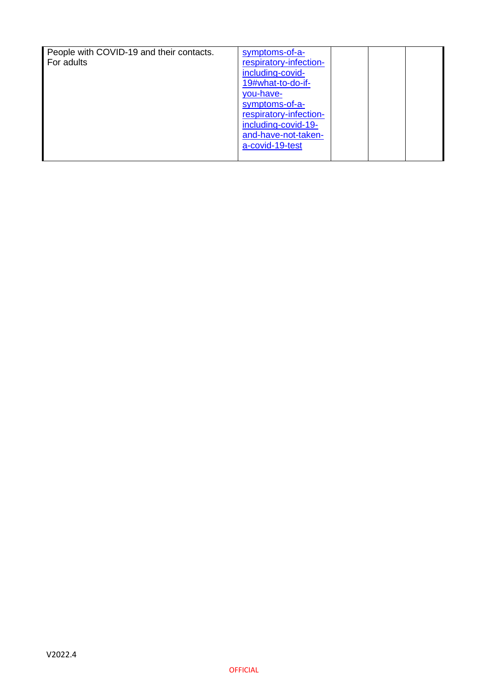| People with COVID-19 and their contacts.<br>For adults | symptoms-of-a-<br>respiratory-infection-<br>including-covid-                                                                                |  |  |
|--------------------------------------------------------|---------------------------------------------------------------------------------------------------------------------------------------------|--|--|
|                                                        | 19#what-to-do-if-<br>you-have-<br>symptoms-of-a-<br>respiratory-infection-<br>including-covid-19-<br>and-have-not-taken-<br>a-covid-19-test |  |  |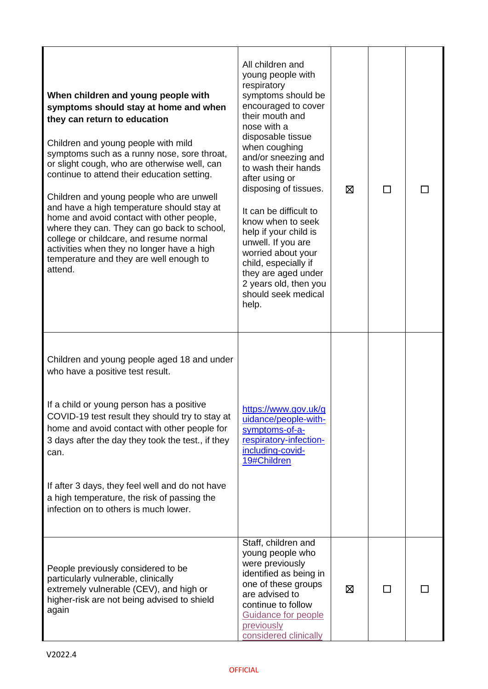| When children and young people with<br>symptoms should stay at home and when<br>they can return to education<br>Children and young people with mild<br>symptoms such as a runny nose, sore throat,<br>or slight cough, who are otherwise well, can<br>continue to attend their education setting.<br>Children and young people who are unwell<br>and have a high temperature should stay at<br>home and avoid contact with other people,<br>where they can. They can go back to school,<br>college or childcare, and resume normal<br>activities when they no longer have a high<br>temperature and they are well enough to<br>attend. | All children and<br>young people with<br>respiratory<br>symptoms should be<br>encouraged to cover<br>their mouth and<br>nose with a<br>disposable tissue<br>when coughing<br>and/or sneezing and<br>to wash their hands<br>after using or<br>disposing of tissues.<br>It can be difficult to<br>know when to seek<br>help if your child is<br>unwell. If you are<br>worried about your<br>child, especially if<br>they are aged under<br>2 years old, then you<br>should seek medical<br>help. | ⊠ |        |  |
|----------------------------------------------------------------------------------------------------------------------------------------------------------------------------------------------------------------------------------------------------------------------------------------------------------------------------------------------------------------------------------------------------------------------------------------------------------------------------------------------------------------------------------------------------------------------------------------------------------------------------------------|------------------------------------------------------------------------------------------------------------------------------------------------------------------------------------------------------------------------------------------------------------------------------------------------------------------------------------------------------------------------------------------------------------------------------------------------------------------------------------------------|---|--------|--|
| Children and young people aged 18 and under<br>who have a positive test result.<br>If a child or young person has a positive<br>COVID-19 test result they should try to stay at<br>home and avoid contact with other people for<br>3 days after the day they took the test., if they<br>can.<br>If after 3 days, they feel well and do not have<br>a high temperature, the risk of passing the<br>infection on to others is much lower.                                                                                                                                                                                                | https://www.gov.uk/g<br>uidance/people-with-<br>symptoms-of-a-<br>respiratory-infection-<br>including-covid-<br>19#Children                                                                                                                                                                                                                                                                                                                                                                    |   |        |  |
| People previously considered to be<br>particularly vulnerable, clinically<br>extremely vulnerable (CEV), and high or<br>higher-risk are not being advised to shield<br>again                                                                                                                                                                                                                                                                                                                                                                                                                                                           | Staff, children and<br>young people who<br>were previously<br>identified as being in<br>one of these groups<br>are advised to<br>continue to follow<br>Guidance for people<br>previously<br>considered clinically                                                                                                                                                                                                                                                                              | ⊠ | $\Box$ |  |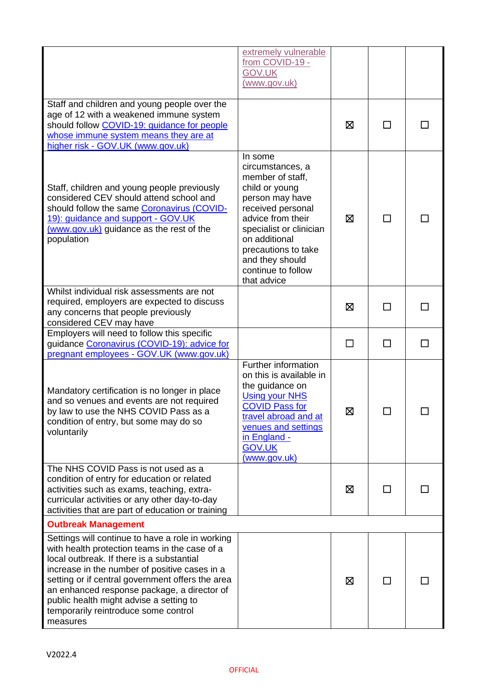|                                                                                                                                                                                                                                                                                                                                                                                                   | extremely vulnerable<br>from COVID-19 -<br><b>GOV.UK</b><br>(www.gov.uk)                                                                                                                                                                                  |   |              |  |
|---------------------------------------------------------------------------------------------------------------------------------------------------------------------------------------------------------------------------------------------------------------------------------------------------------------------------------------------------------------------------------------------------|-----------------------------------------------------------------------------------------------------------------------------------------------------------------------------------------------------------------------------------------------------------|---|--------------|--|
| Staff and children and young people over the<br>age of 12 with a weakened immune system<br>should follow COVID-19: guidance for people<br>whose immune system means they are at<br>higher risk - GOV.UK (www.gov.uk)                                                                                                                                                                              |                                                                                                                                                                                                                                                           | ⊠ | $\mathsf{L}$ |  |
| Staff, children and young people previously<br>considered CEV should attend school and<br>should follow the same Coronavirus (COVID-<br>19): guidance and support - GOV.UK<br>(www.gov.uk) guidance as the rest of the<br>population                                                                                                                                                              | In some<br>circumstances, a<br>member of staff,<br>child or young<br>person may have<br>received personal<br>advice from their<br>specialist or clinician<br>on additional<br>precautions to take<br>and they should<br>continue to follow<br>that advice | ⊠ | $\mathbf{r}$ |  |
| Whilst individual risk assessments are not<br>required, employers are expected to discuss<br>any concerns that people previously<br>considered CEV may have                                                                                                                                                                                                                                       |                                                                                                                                                                                                                                                           | ⊠ | П            |  |
| Employers will need to follow this specific<br>guidance Coronavirus (COVID-19): advice for<br>pregnant employees - GOV.UK (www.gov.uk)                                                                                                                                                                                                                                                            |                                                                                                                                                                                                                                                           |   | $\mathsf{L}$ |  |
| Mandatory certification is no longer in place<br>and so venues and events are not required<br>by law to use the NHS COVID Pass as a<br>condition of entry, but some may do so<br>voluntarily                                                                                                                                                                                                      | <b>Further information</b><br>on this is available in<br>the guidance on<br><b>Using your NHS</b><br><b>COVID Pass for</b><br>travel abroad and at<br>venues and settings<br>in England -<br><b>GOV.UK</b><br>(www.gov.uk)                                | Ø | П            |  |
| The NHS COVID Pass is not used as a<br>condition of entry for education or related<br>activities such as exams, teaching, extra-<br>curricular activities or any other day-to-day<br>activities that are part of education or training                                                                                                                                                            |                                                                                                                                                                                                                                                           | ⊠ | ΙI           |  |
| <b>Outbreak Management</b>                                                                                                                                                                                                                                                                                                                                                                        |                                                                                                                                                                                                                                                           |   |              |  |
| Settings will continue to have a role in working<br>with health protection teams in the case of a<br>local outbreak. If there is a substantial<br>increase in the number of positive cases in a<br>setting or if central government offers the area<br>an enhanced response package, a director of<br>public health might advise a setting to<br>temporarily reintroduce some control<br>measures |                                                                                                                                                                                                                                                           | ⊠ | $\mathsf{L}$ |  |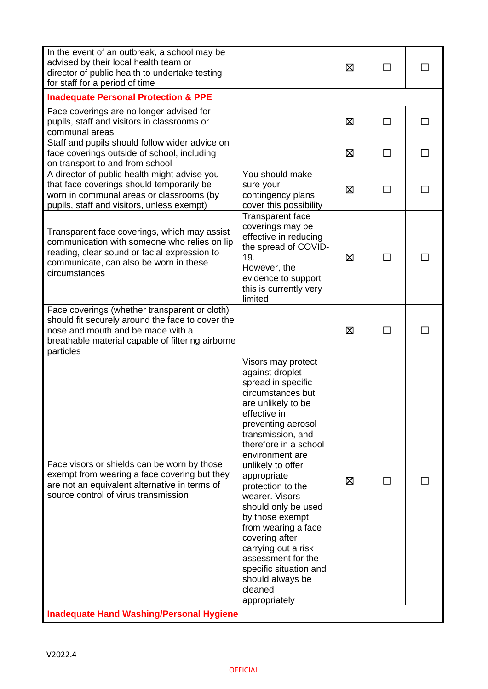| In the event of an outbreak, a school may be<br>advised by their local health team or<br>director of public health to undertake testing<br>for staff for a period of time                                |                                                                                                                                                                                                                                                                                                                                                                                                                                                                                                    | ⊠ | □  |  |
|----------------------------------------------------------------------------------------------------------------------------------------------------------------------------------------------------------|----------------------------------------------------------------------------------------------------------------------------------------------------------------------------------------------------------------------------------------------------------------------------------------------------------------------------------------------------------------------------------------------------------------------------------------------------------------------------------------------------|---|----|--|
| <b>Inadequate Personal Protection &amp; PPE</b>                                                                                                                                                          |                                                                                                                                                                                                                                                                                                                                                                                                                                                                                                    |   |    |  |
| Face coverings are no longer advised for<br>pupils, staff and visitors in classrooms or<br>communal areas                                                                                                |                                                                                                                                                                                                                                                                                                                                                                                                                                                                                                    | ⊠ | П  |  |
| Staff and pupils should follow wider advice on<br>face coverings outside of school, including<br>on transport to and from school                                                                         |                                                                                                                                                                                                                                                                                                                                                                                                                                                                                                    | ⊠ | ΙI |  |
| A director of public health might advise you<br>that face coverings should temporarily be<br>worn in communal areas or classrooms (by<br>pupils, staff and visitors, unless exempt)                      | You should make<br>sure your<br>contingency plans<br>cover this possibility                                                                                                                                                                                                                                                                                                                                                                                                                        | ⊠ | □  |  |
| Transparent face coverings, which may assist<br>communication with someone who relies on lip<br>reading, clear sound or facial expression to<br>communicate, can also be worn in these<br>circumstances  | <b>Transparent face</b><br>coverings may be<br>effective in reducing<br>the spread of COVID-<br>19.<br>However, the<br>evidence to support<br>this is currently very<br>limited                                                                                                                                                                                                                                                                                                                    | ⊠ | П  |  |
| Face coverings (whether transparent or cloth)<br>should fit securely around the face to cover the<br>nose and mouth and be made with a<br>breathable material capable of filtering airborne<br>particles |                                                                                                                                                                                                                                                                                                                                                                                                                                                                                                    | ⊠ |    |  |
| Face visors or shields can be worn by those<br>exempt from wearing a face covering but they<br>are not an equivalent alternative in terms of<br>source control of virus transmission                     | Visors may protect<br>against droplet<br>spread in specific<br>circumstances but<br>are unlikely to be<br>effective in<br>preventing aerosol<br>transmission, and<br>therefore in a school<br>environment are<br>unlikely to offer<br>appropriate<br>protection to the<br>wearer. Visors<br>should only be used<br>by those exempt<br>from wearing a face<br>covering after<br>carrying out a risk<br>assessment for the<br>specific situation and<br>should always be<br>cleaned<br>appropriately | ⊠ |    |  |
| <b>Inadequate Hand Washing/Personal Hygiene</b>                                                                                                                                                          |                                                                                                                                                                                                                                                                                                                                                                                                                                                                                                    |   |    |  |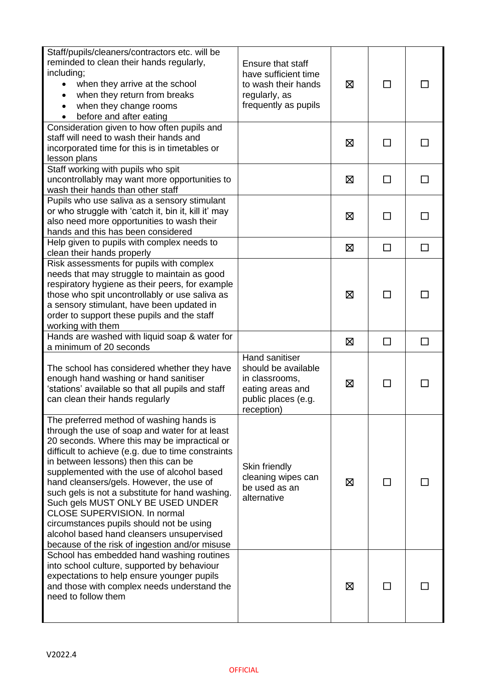| Staff/pupils/cleaners/contractors etc. will be<br>reminded to clean their hands regularly,<br>including;<br>when they arrive at the school<br>when they return from breaks<br>$\bullet$<br>when they change rooms<br>$\bullet$<br>before and after eating                                                                                                                                                                                                                                                                                                                                                    | Ensure that staff<br>have sufficient time<br>to wash their hands<br>regularly, as<br>frequently as pupils        | ⊠ | $\perp$      |              |
|--------------------------------------------------------------------------------------------------------------------------------------------------------------------------------------------------------------------------------------------------------------------------------------------------------------------------------------------------------------------------------------------------------------------------------------------------------------------------------------------------------------------------------------------------------------------------------------------------------------|------------------------------------------------------------------------------------------------------------------|---|--------------|--------------|
| Consideration given to how often pupils and<br>staff will need to wash their hands and<br>incorporated time for this is in timetables or<br>lesson plans                                                                                                                                                                                                                                                                                                                                                                                                                                                     |                                                                                                                  | ⊠ |              |              |
| Staff working with pupils who spit<br>uncontrollably may want more opportunities to<br>wash their hands than other staff                                                                                                                                                                                                                                                                                                                                                                                                                                                                                     |                                                                                                                  | ⊠ | П            | $\mathsf{L}$ |
| Pupils who use saliva as a sensory stimulant<br>or who struggle with 'catch it, bin it, kill it' may<br>also need more opportunities to wash their<br>hands and this has been considered                                                                                                                                                                                                                                                                                                                                                                                                                     |                                                                                                                  | ⊠ |              |              |
| Help given to pupils with complex needs to<br>clean their hands properly                                                                                                                                                                                                                                                                                                                                                                                                                                                                                                                                     |                                                                                                                  | 区 | $\Box$       | $\Box$       |
| Risk assessments for pupils with complex<br>needs that may struggle to maintain as good<br>respiratory hygiene as their peers, for example<br>those who spit uncontrollably or use saliva as<br>a sensory stimulant, have been updated in<br>order to support these pupils and the staff<br>working with them                                                                                                                                                                                                                                                                                                |                                                                                                                  | ⊠ |              |              |
| Hands are washed with liquid soap & water for<br>a minimum of 20 seconds                                                                                                                                                                                                                                                                                                                                                                                                                                                                                                                                     |                                                                                                                  | ⊠ | $\Box$       | $\Box$       |
| The school has considered whether they have<br>enough hand washing or hand sanitiser<br>'stations' available so that all pupils and staff<br>can clean their hands regularly                                                                                                                                                                                                                                                                                                                                                                                                                                 | Hand sanitiser<br>should be available<br>in classrooms,<br>eating areas and<br>public places (e.g.<br>reception) | ⊠ | $\mathsf{L}$ |              |
| The preferred method of washing hands is<br>through the use of soap and water for at least<br>20 seconds. Where this may be impractical or<br>difficult to achieve (e.g. due to time constraints<br>in between lessons) then this can be<br>supplemented with the use of alcohol based<br>hand cleansers/gels. However, the use of<br>such gels is not a substitute for hand washing.<br>Such gels MUST ONLY BE USED UNDER<br><b>CLOSE SUPERVISION. In normal</b><br>circumstances pupils should not be using<br>alcohol based hand cleansers unsupervised<br>because of the risk of ingestion and/or misuse | Skin friendly<br>cleaning wipes can<br>be used as an<br>alternative                                              | ⊠ |              |              |
| School has embedded hand washing routines<br>into school culture, supported by behaviour<br>expectations to help ensure younger pupils<br>and those with complex needs understand the<br>need to follow them                                                                                                                                                                                                                                                                                                                                                                                                 |                                                                                                                  | ⊠ |              |              |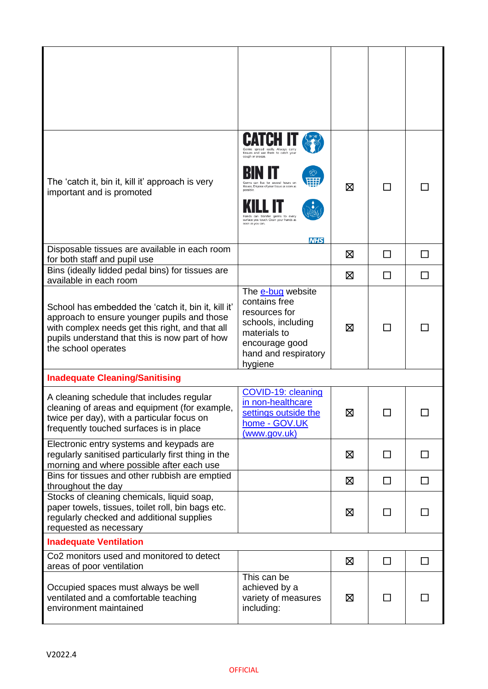| The 'catch it, bin it, kill it' approach is very<br>important and is promoted                                                                                                                                                  | tissues and use them to catch you<br>can live for several hours on<br>tissues. Dispose of your tissue as soon a<br>transfer germs to every<br>surface you touch. Clean your hands as<br>soon as you can.<br><b>NHS</b> | ⊠ |              |              |
|--------------------------------------------------------------------------------------------------------------------------------------------------------------------------------------------------------------------------------|------------------------------------------------------------------------------------------------------------------------------------------------------------------------------------------------------------------------|---|--------------|--------------|
| Disposable tissues are available in each room<br>for both staff and pupil use                                                                                                                                                  |                                                                                                                                                                                                                        | ⊠ | $\mathbf{I}$ |              |
| Bins (ideally lidded pedal bins) for tissues are<br>available in each room                                                                                                                                                     |                                                                                                                                                                                                                        | ⊠ | ΙI           |              |
| School has embedded the 'catch it, bin it, kill it'<br>approach to ensure younger pupils and those<br>with complex needs get this right, and that all<br>pupils understand that this is now part of how<br>the school operates | The e-bug website<br>contains free<br>resources for<br>schools, including<br>materials to<br>encourage good<br>hand and respiratory<br>hygiene                                                                         | ⊠ |              |              |
| <b>Inadequate Cleaning/Sanitising</b>                                                                                                                                                                                          |                                                                                                                                                                                                                        |   |              |              |
| A cleaning schedule that includes regular<br>cleaning of areas and equipment (for example,<br>twice per day), with a particular focus on<br>frequently touched surfaces is in place                                            | COVID-19: cleaning<br>in non-healthcare<br>settings outside the<br>home - GOV.UK<br>(www.gov.uk)                                                                                                                       | ⊠ |              |              |
| Electronic entry systems and keypads are<br>regularly sanitised particularly first thing in the<br>morning and where possible after each use                                                                                   |                                                                                                                                                                                                                        | ⊠ | $\mathsf{L}$ |              |
| Bins for tissues and other rubbish are emptied<br>throughout the day                                                                                                                                                           |                                                                                                                                                                                                                        | 区 | $\mathsf{L}$ |              |
| Stocks of cleaning chemicals, liquid soap,<br>paper towels, tissues, toilet roll, bin bags etc.<br>regularly checked and additional supplies<br>requested as necessary                                                         |                                                                                                                                                                                                                        | ⊠ | $\mathsf{L}$ |              |
| <b>Inadequate Ventilation</b>                                                                                                                                                                                                  |                                                                                                                                                                                                                        |   |              |              |
| Co2 monitors used and monitored to detect<br>areas of poor ventilation                                                                                                                                                         |                                                                                                                                                                                                                        | ⊠ | П            | $\mathsf{L}$ |
| Occupied spaces must always be well<br>ventilated and a comfortable teaching<br>environment maintained                                                                                                                         | This can be<br>achieved by a<br>variety of measures<br>including:                                                                                                                                                      | ⊠ |              |              |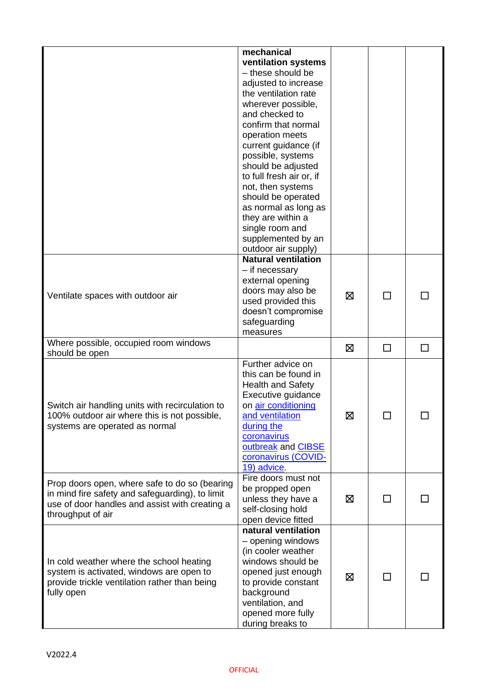|                                                                                                 | mechanical<br>ventilation systems<br>- these should be |   |    |   |
|-------------------------------------------------------------------------------------------------|--------------------------------------------------------|---|----|---|
|                                                                                                 | adjusted to increase<br>the ventilation rate           |   |    |   |
|                                                                                                 | wherever possible,                                     |   |    |   |
|                                                                                                 | and checked to<br>confirm that normal                  |   |    |   |
|                                                                                                 | operation meets                                        |   |    |   |
|                                                                                                 | current guidance (if                                   |   |    |   |
|                                                                                                 | possible, systems<br>should be adjusted                |   |    |   |
|                                                                                                 | to full fresh air or, if                               |   |    |   |
|                                                                                                 | not, then systems                                      |   |    |   |
|                                                                                                 | should be operated                                     |   |    |   |
|                                                                                                 | as normal as long as<br>they are within a              |   |    |   |
|                                                                                                 | single room and                                        |   |    |   |
|                                                                                                 | supplemented by an                                     |   |    |   |
|                                                                                                 | outdoor air supply)<br><b>Natural ventilation</b>      |   |    |   |
|                                                                                                 | - if necessary                                         |   |    |   |
|                                                                                                 | external opening                                       |   |    |   |
| Ventilate spaces with outdoor air                                                               | doors may also be<br>used provided this                | ⊠ |    |   |
|                                                                                                 | doesn't compromise                                     |   |    |   |
|                                                                                                 | safeguarding                                           |   |    |   |
| Where possible, occupied room windows                                                           | measures                                               |   |    |   |
| should be open                                                                                  |                                                        | ⊠ | □  | □ |
|                                                                                                 | Further advice on<br>this can be found in              |   |    |   |
|                                                                                                 | <b>Health and Safety</b>                               |   |    |   |
|                                                                                                 | Executive guidance                                     |   |    |   |
| Switch air handling units with recirculation to<br>100% outdoor air where this is not possible, | on air conditioning<br>and ventilation                 | Ø |    |   |
| systems are operated as normal                                                                  | during the                                             |   |    |   |
|                                                                                                 | coronavirus                                            |   |    |   |
|                                                                                                 | outbreak and CIBSE                                     |   |    |   |
|                                                                                                 | coronavirus (COVID-<br>19) advice.                     |   |    |   |
| Prop doors open, where safe to do so (bearing                                                   | Fire doors must not                                    |   |    |   |
| in mind fire safety and safeguarding), to limit                                                 | be propped open<br>unless they have a                  | 区 | П  |   |
| use of door handles and assist with creating a                                                  | self-closing hold                                      |   |    |   |
| throughput of air                                                                               | open device fitted                                     |   |    |   |
|                                                                                                 | natural ventilation<br>- opening windows               |   |    |   |
|                                                                                                 | (in cooler weather                                     |   |    |   |
| In cold weather where the school heating                                                        | windows should be                                      |   |    |   |
| system is activated, windows are open to<br>provide trickle ventilation rather than being       | opened just enough<br>to provide constant              | ⊠ | ΙI |   |
| fully open                                                                                      | background                                             |   |    |   |
|                                                                                                 | ventilation, and                                       |   |    |   |
|                                                                                                 | opened more fully<br>during breaks to                  |   |    |   |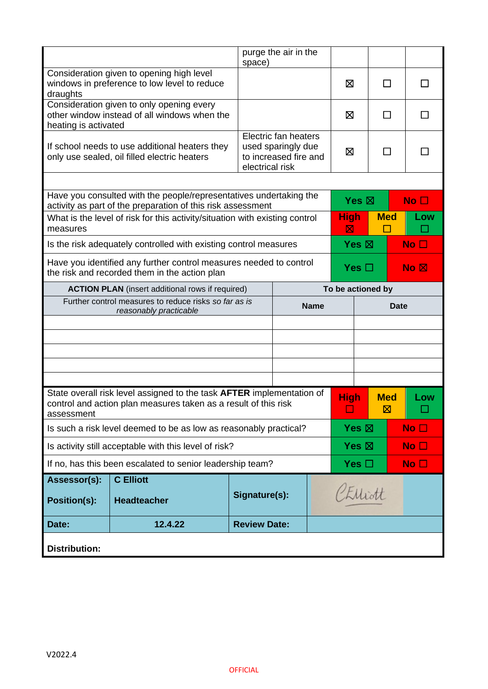|                                                           |                                                                                                                                                 | space)                                                             | purge the air in the                                                |                   |                            |                          |                                                  |
|-----------------------------------------------------------|-------------------------------------------------------------------------------------------------------------------------------------------------|--------------------------------------------------------------------|---------------------------------------------------------------------|-------------------|----------------------------|--------------------------|--------------------------------------------------|
| draughts                                                  | Consideration given to opening high level<br>windows in preference to low level to reduce                                                       |                                                                    |                                                                     |                   | ⊠                          | П                        |                                                  |
| heating is activated                                      | Consideration given to only opening every<br>other window instead of all windows when the                                                       |                                                                    |                                                                     |                   | ⊠                          | ΙI                       |                                                  |
|                                                           | If school needs to use additional heaters they<br>only use sealed, oil filled electric heaters                                                  | electrical risk                                                    | Electric fan heaters<br>used sparingly due<br>to increased fire and |                   | ⊠                          | $\overline{\phantom{a}}$ |                                                  |
|                                                           |                                                                                                                                                 |                                                                    |                                                                     |                   |                            |                          |                                                  |
|                                                           | Have you consulted with the people/representatives undertaking the<br>activity as part of the preparation of this risk assessment               |                                                                    |                                                                     |                   | Yes $\boxtimes$            |                          | No <sub>1</sub>                                  |
| measures                                                  | What is the level of risk for this activity/situation with existing control                                                                     |                                                                    |                                                                     |                   | <b>High</b><br>$\boxtimes$ | <b>Med</b>               | Low                                              |
|                                                           | Is the risk adequately controlled with existing control measures                                                                                |                                                                    |                                                                     |                   | Yes $\boxtimes$            |                          | No <sub>1</sub>                                  |
|                                                           | the risk and recorded them in the action plan                                                                                                   | Have you identified any further control measures needed to control |                                                                     |                   | Yes $\Box$                 |                          | $\overline{\mathsf{No}}$ $\overline{\mathsf{N}}$ |
| <b>ACTION PLAN</b> (insert additional rows if required)   |                                                                                                                                                 |                                                                    |                                                                     | To be actioned by |                            |                          |                                                  |
|                                                           | Further control measures to reduce risks so far as is<br><b>Name</b><br>reasonably practicable                                                  |                                                                    |                                                                     |                   | <b>Date</b>                |                          |                                                  |
|                                                           |                                                                                                                                                 |                                                                    |                                                                     |                   |                            |                          |                                                  |
|                                                           |                                                                                                                                                 |                                                                    |                                                                     |                   |                            |                          |                                                  |
|                                                           |                                                                                                                                                 |                                                                    |                                                                     |                   |                            |                          |                                                  |
|                                                           |                                                                                                                                                 |                                                                    |                                                                     |                   |                            |                          |                                                  |
| assessment                                                | State overall risk level assigned to the task <b>AFTER</b> implementation of<br>control and action plan measures taken as a result of this risk |                                                                    |                                                                     |                   | <b>High</b>                | <b>Med</b><br>⊠          | Low                                              |
|                                                           | Is such a risk level deemed to be as low as reasonably practical?                                                                               |                                                                    |                                                                     |                   | Yes $\boxtimes$            |                          | No <sub>1</sub>                                  |
| Is activity still acceptable with this level of risk?     |                                                                                                                                                 |                                                                    |                                                                     | Yes $\boxtimes$   |                            | No <sub>1</sub>          |                                                  |
| If no, has this been escalated to senior leadership team? |                                                                                                                                                 |                                                                    |                                                                     | Yes $\square$     |                            | No $\square$             |                                                  |
| Assessor(s):<br><b>Position(s):</b>                       | <b>C</b> Elliott<br><b>Headteacher</b>                                                                                                          | Signature(s):                                                      |                                                                     |                   | PENiott                    |                          |                                                  |
| Date:                                                     | 12.4.22                                                                                                                                         | <b>Review Date:</b>                                                |                                                                     |                   |                            |                          |                                                  |
| <b>Distribution:</b>                                      |                                                                                                                                                 |                                                                    |                                                                     |                   |                            |                          |                                                  |